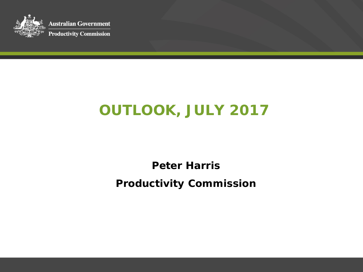

**Australian Government Productivity Commission** 

# **OUTLOOK, JULY 2017**

**Peter Harris Productivity Commission**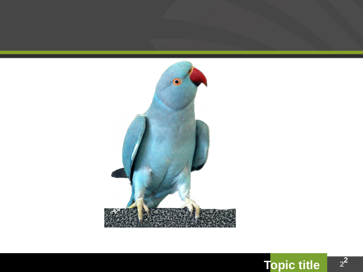



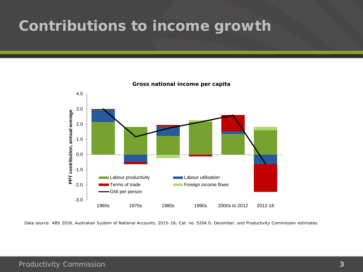#### **Contributions to income growth**



**Gross national income per capita**

Data source: ABS 2016, Australian System of National Accounts, 2015–16, Cat. no. 5204.0, December, and Productivity Commission estimates.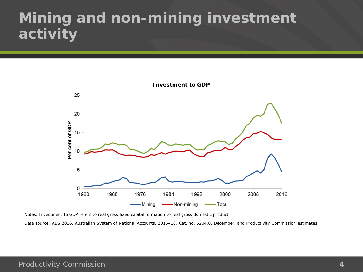## **Mining and non-mining investment activity**



Notes: Investment to GDP refers to real gross fixed capital formation to real gross domestic product.

Data source: ABS 2016, Australian System of National Accounts, 2015–16, Cat. no. 5204.0, December, and Productivity Commission estimates.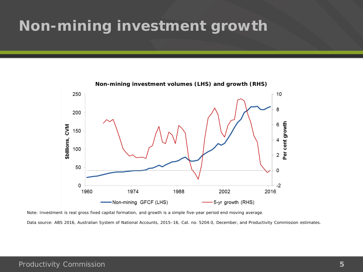## **Non-mining investment growth**



Note: Investment is real gross fixed capital formation, and growth is a simple five-year period end moving average.

Data source: ABS 2016, Australian System of National Accounts, 2015–16, Cat. no. 5204.0, December, and Productivity Commission estimates.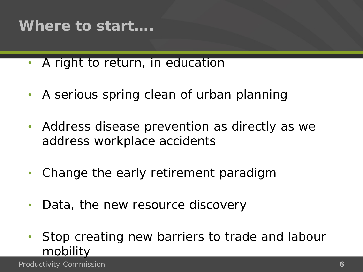#### **Where to start….**

- A right to return, in education
- A serious spring clean of urban planning
- Address disease prevention as directly as we address workplace accidents
- Change the early retirement paradigm
- Data, the new resource discovery
- Stop creating new barriers to trade and labour mobility

Productivity Commission **6**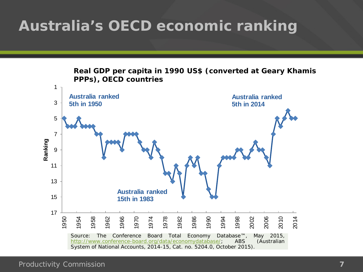## **Australia's OECD economic ranking**

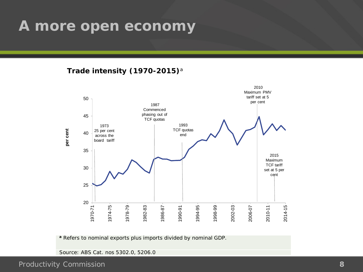#### **A more open economy**

 **Trade intensity (1970-2015)**<sup>a</sup>



**<sup>a</sup>** Refers to nominal exports plus imports divided by nominal GDP.

Source: ABS Cat. nos 5302.0, 5206.0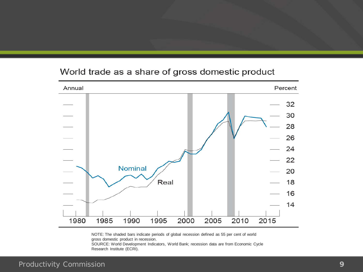#### World trade as a share of gross domestic product



NOTE: The shaded bars indicate periods of global recession defined as 55 per cent of world gross domestic product in recession.

SOURCE: World Development Indicators, World Bank; recession data are from Economic Cycle Research Institute (ECRI).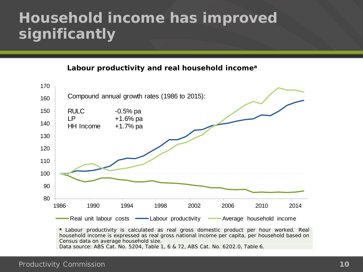## **Household income has improved significantly**

**Labour productivity and real household incomea**



**<sup>a</sup>** Labour productivity is calculated as real gross domestic product per hour worked. Real household income is expressed as real gross national income per capita, per household based on Census data on average household size. Data source: ABS Cat. No. 5204, Table 1, 6 & 72, ABS Cat. No. 6202.0, Table 6.